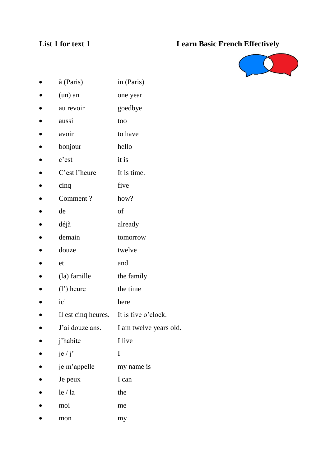# **List 1 for text 1 Learn Basic French Effectively**



- à (Paris) in (Paris)
- (un) an one year
- au revoir goedbye
- aussi too
- avoir to have
- bonjour hello
- c'est it is
- C'est l'heure It is time.
- cinq five
- Comment ? how?
- de of
- déjà already
- demain tomorrow
- douze twelve
- et and
- $\bullet$  (la) famille the family
- $\bullet$  (l') heure the time
- ici here
- Il est cinq heures. It is five o'clock.
- J'ai douze ans. I am twelve years old.
- j'habite I live
- $j e / j'$  I
- je m'appelle my name is
- Je peux I can
- $\bullet$  le / la the
- moi me
- mon my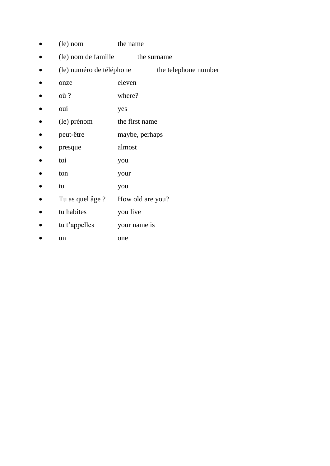- (le) nom the name
- (le) nom de famille the surname
- (le) numéro de téléphone the telephone number
- onze eleven
- $\bullet$  où? where?
- oui yes
- (le) prénom the first name
- peut-être maybe, perhaps
- **presque** almost
- toi you
- ton your
- tu you
- Tu as quel âge ? How old are you?
- tu habites you live
- tu t'appelles your name is
- un one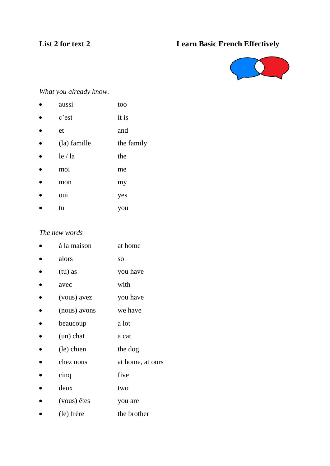# **List 2 for text 2 Learn Basic French Effectively**



## *What you already know.*

- aussi too
- c'est it is
- et and
- (la) famille the family
- $\bullet$  le / la the
- moi me
- mon my
- oui yes
- tu you

### *The new words*

| à la maison  | at home          |
|--------------|------------------|
| alors        | SO.              |
| (tu) as      | you have         |
| avec         | with             |
| (vous) avez  | you have         |
| (nous) avons | we have          |
| beaucoup     | a lot            |
| $(un)$ chat  | a cat            |
| (le) chien   | the dog          |
| chez nous    | at home, at ours |
| cinq         | five             |
| deux         | two              |
| (vous) êtes  | you are          |
|              |                  |

• (le) frère the brother